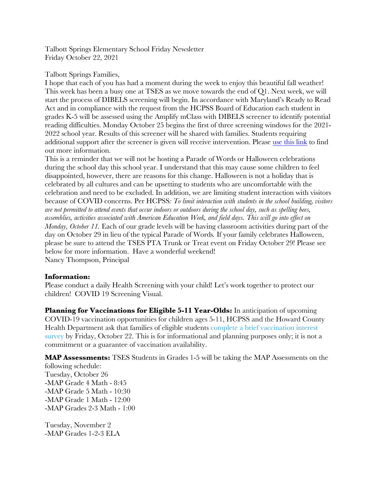Talbott Springs Elementary School Friday Newsletter Friday October 22, 2021

# Talbott Springs Families,

I hope that each of you has had a moment during the week to enjoy this beautiful fall weather! This week has been a busy one at TSES as we move towards the end of Q1. Next week, we will start the process of DIBELS screening will begin. In accordance with Maryland's Ready to Read Act and in compliance with the request from the HCPSS Board of Education each student in grades K-5 will be assessed using the Amplify mClass with DIBELS screener to identify potential reading difficulties. Monday October 25 begins the first of three screening windows for the 2021- 2022 school year. Results of this screener will be shared with families. Students requiring additional support after the screener is given will receive intervention. Please use this link to find out more information.

This is a reminder that we will not be hosting a Parade of Words or Halloween celebrations during the school day this school year. I understand that this may cause some children to feel disappointed, however, there are reasons for this change. Halloween is not a holiday that is celebrated by all cultures and can be upsetting to students who are uncomfortable with the celebration and need to be excluded. In addition, we are limiting student interaction with visitors because of COVID concerns. Per HCPSS*: To limit interaction with students in the school building, visitors are not permitted to attend events that occur indoors or outdoors during the school day, such as spelling bees, assemblies, activities associated with American Education Week, and field days. This will go into effect on Monday, October 11.* Each of our grade levels will be having classroom activities during part of the day on October 29 in lieu of the typical Parade of Words*.* If your family celebrates Halloween, please be sure to attend the TSES PTA Trunk or Treat event on Friday October 29! Please see below for more information. Have a wonderful weekend! Nancy Thompson, Principal

# **Information:**

Please conduct a daily Health Screening with your child! Let's work together to protect our children! COVID 19 Screening Visual.

**Planning for Vaccinations for Eligible 5-11 Year-Olds:** In anticipation of upcoming COVID-19 vaccination opportunities for children ages 5-11, HCPSS and the Howard County Health Department ask that families of eligible students complete a brief vaccination interest survey by Friday, October 22. This is for informational and planning purposes only; it is not a commitment or a guarantee of vaccination availability.

**MAP Assessments:** TSES Students in Grades 1-5 will be taking the MAP Assessments on the following schedule: Tuesday, October 26 -MAP Grade 4 Math - 8:45 -MAP Grade 5 Math - 10:30 -MAP Grade 1 Math - 12:00 -MAP Grades 2-3 Math - 1:00

Tuesday, November 2 -MAP Grades 1-2-3 ELA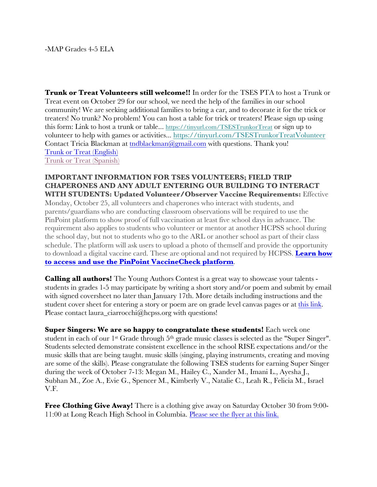**Trunk or Treat Volunteers still welcome!!** In order for the TSES PTA to host a Trunk or Treat event on October 29 for our school, we need the help of the families in our school community! We are seeking additional families to bring a car, and to decorate it for the trick or treaters! No trunk? No problem! You can host a table for trick or treaters! Please sign up using this form: Link to host a trunk or table... https://tinyurl.com/TSESTrunkorTreat or sign up to volunteer to help with games or activities... https://tinyurl.com/TSESTrunkorTreatVolunteer Contact Tricia Blackman at tndblackman@gmail.com with questions. Thank you! Trunk or Treat (English) Trunk or Treat (Spanish)

# **IMPORTANT INFORMATION FOR TSES VOLUNTEERS; FIELD TRIP CHAPERONES AND ANY ADULT ENTERING OUR BUILDING TO INTERACT WITH STUDENTS: Updated Volunteer/Observer Vaccine Requirements:** Effective

Monday, October 25, all volunteers and chaperones who interact with students, and parents/guardians who are conducting classroom observations will be required to use the PinPoint platform to show proof of full vaccination at least five school days in advance. The requirement also applies to students who volunteer or mentor at another HCPSS school during the school day, but not to students who go to the ARL or another school as part of their class schedule. The platform will ask users to upload a photo of themself and provide the opportunity to download a digital vaccine card. These are optional and not required by HCPSS. **Learn how to access and use the PinPoint VaccineCheck platform**.

**Calling all authors!** The Young Authors Contest is a great way to showcase your talents students in grades 1-5 may participate by writing a short story and/or poem and submit by email with signed coversheet no later than January 17th. More details including instructions and the student cover sheet for entering a story or poem are on grade level canvas pages or at this link. Please contact laura\_ciarrocchi@hcpss.org with questions!

**Super Singers: We are so happy to congratulate these students!** Each week one student in each of our 1<sup>st</sup> Grade through 5<sup>th</sup> grade music classes is selected as the "Super Singer". Students selected demonstrate consistent excellence in the school RISE expectations and/or the music skills that are being taught. music skills (singing, playing instruments, creating and moving are some of the skills). Please congratulate the following TSES students for earning Super Singer during the week of October 7-13: Megan M., Hailey C., Xander M., Imani L., Ayesha J., Subhan M., Zoe A., Evie G., Spencer M., Kimberly V., Natalie C., Leah R., Felicia M., Israel V.F.

**Free Clothing Give Away!** There is a clothing give away on Saturday October 30 from 9:00-11:00 at Long Reach High School in Columbia. Please see the flyer at this link.